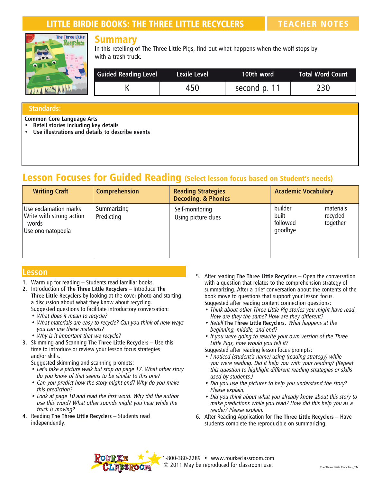# LITTLE BIRDIE BOOKS: THE THREE LITTLE RECYCLERS TEACHER NOTES



## Summary

In this retelling of The Three Little Pigs, find out what happens when the wolf stops by with a trash truck.

| <b>Guided Reading Level</b> | Lexile Level | 100th word   | <b>Total Word Count</b> |
|-----------------------------|--------------|--------------|-------------------------|
|                             | 450          | second p. 11 | 230                     |

#### **Standards:**

**Common Core Language Arts**

- **• Retell stories including key details**
- **• Use illustrations and details to describe events**

# Lesson Focuses for Guided Reading (Select lesson focus based on Student's needs)

| <b>Writing Craft</b>                                                           | <b>Comprehension</b>      | <b>Reading Strategies</b><br><b>Decoding, &amp; Phonics</b> | <b>Academic Vocabulary</b>                                                   |
|--------------------------------------------------------------------------------|---------------------------|-------------------------------------------------------------|------------------------------------------------------------------------------|
| Use exclamation marks<br>Write with strong action<br>words<br>Use onomatopoeia | Summarizing<br>Predicting | Self-monitoring<br>Using picture clues                      | builder<br>materials<br>built<br>recycled<br>followed<br>together<br>goodbye |

### **Lesson**

- **1**. Warm up for reading Students read familiar books.
- **2.** Introduction of **The Three Little Recyclers**  Introduce **The Three Little Recyclers** by looking at the cover photo and starting a discussion about what they know about recycling. Suggested questions to facilitate introductory conversation:
	- What does it mean to recycle?
	- What materials are easy to recycle? Can you think of new ways you can use these materials?
	- Why is it important that we recycle?
- **3.** Skimming and Scanning **The Three Little Recyclers**  Use this time to introduce or review your lesson focus strategies and/or skills.

Suggested skimming and scanning prompts:

- Let's take a picture walk but stop on page 17. What other story do you know of that seems to be similar to this one?
- Can you predict how the story might end? Why do you make this prediction?
- Look at page 10 and read the first word. Why did the author use this word? What other sounds might you hear while the truck is moving?
- **4**. Reading **The Three Little Recyclers**  Students read independently.
- 5. After reading **The Three Little Recyclers** Open the conversation with a question that relates to the comprehension strategy of summarizing. After a brief conversation about the contents of the book move to questions that support your lesson focus. Suggested after reading content connection questions:
	- Think about other Three Little Pig stories you might have read. How are they the same? How are they different?
	- • Retell **The Three Little Recyclers**. What happens at the beginning, middle, and end?
	- If you were going to rewrite your own version of the Three Little Pigs, how would you tell it?
	- Suggested after reading lesson focus prompts:
	- • I noticed (student's name) using (reading strategy) while you were reading. Did it help you with your reading? (Repeat this question to highlight different reading strategies or skills used by students.)
	- Did you use the pictures to help you understand the story? Please explain.
	- Did you think about what you already know about this story to make predictions while you read? How did this help you as <sup>a</sup> reader? Please explain.
- 6. After Reading Application for **The Three Little Recyclers** Have students complete the reproducible on summarizing.



1-800-380-2289 • www.rourkeclassroom.com © 2011 May be reproduced for classroom use.